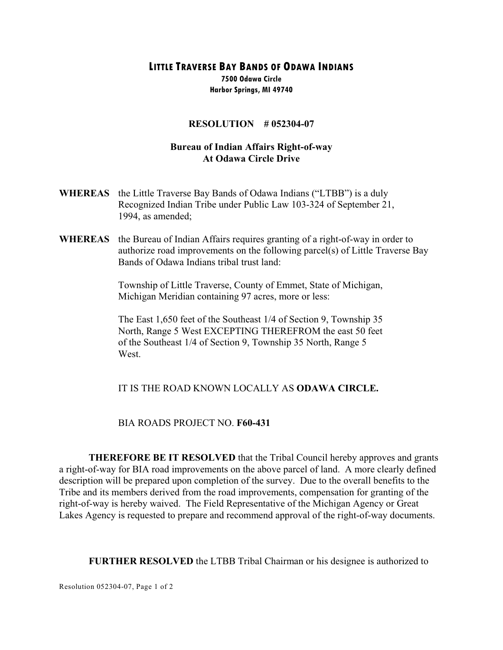**LITTLE TRAVERSE BAY BANDS OF ODAWA INDIANS**

**7500 Odawa Circle Harbor Springs, MI 49740**

#### **RESOLUTION # 052304-07**

## **Bureau of Indian Affairs Right-of-way At Odawa Circle Drive**

- **WHEREAS** the Little Traverse Bay Bands of Odawa Indians ("LTBB") is a duly Recognized Indian Tribe under Public Law 103-324 of September 21, 1994, as amended;
- **WHEREAS** the Bureau of Indian Affairs requires granting of a right-of-way in order to authorize road improvements on the following parcel(s) of Little Traverse Bay Bands of Odawa Indians tribal trust land:

Township of Little Traverse, County of Emmet, State of Michigan, Michigan Meridian containing 97 acres, more or less:

The East 1,650 feet of the Southeast 1/4 of Section 9, Township 35 North, Range 5 West EXCEPTING THEREFROM the east 50 feet of the Southeast 1/4 of Section 9, Township 35 North, Range 5 West.

# IT IS THE ROAD KNOWN LOCALLY AS **ODAWA CIRCLE.**

### BIA ROADS PROJECT NO. **F60-431**

**THEREFORE BE IT RESOLVED** that the Tribal Council hereby approves and grants a right-of-way for BIA road improvements on the above parcel of land. A more clearly defined description will be prepared upon completion of the survey. Due to the overall benefits to the Tribe and its members derived from the road improvements, compensation for granting of the right-of-way is hereby waived. The Field Representative of the Michigan Agency or Great Lakes Agency is requested to prepare and recommend approval of the right-of-way documents.

**FURTHER RESOLVED** the LTBB Tribal Chairman or his designee is authorized to